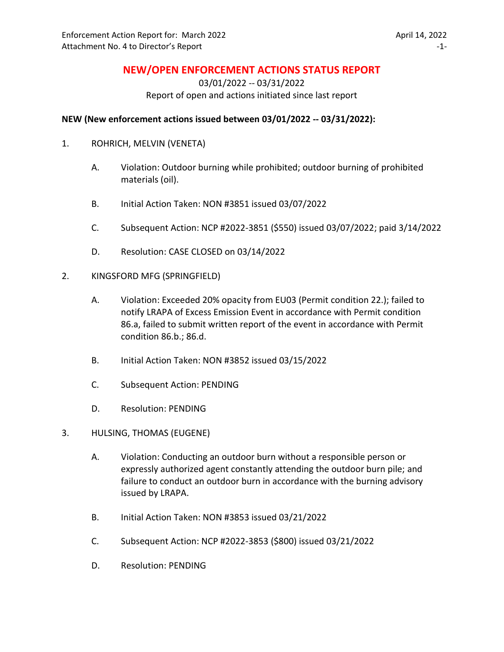# **NEW/OPEN ENFORCEMENT ACTIONS STATUS REPORT**

03/01/2022 -- 03/31/2022 Report of open and actions initiated since last report

#### **NEW (New enforcement actions issued between 03/01/2022 -- 03/31/2022):**

- 1. ROHRICH, MELVIN (VENETA)
	- A. Violation: Outdoor burning while prohibited; outdoor burning of prohibited materials (oil).
	- B. Initial Action Taken: NON #3851 issued 03/07/2022
	- C. Subsequent Action: NCP #2022-3851 (\$550) issued 03/07/2022; paid 3/14/2022
	- D. Resolution: CASE CLOSED on 03/14/2022
- 2. KINGSFORD MFG (SPRINGFIELD)
	- A. Violation: Exceeded 20% opacity from EU03 (Permit condition 22.); failed to notify LRAPA of Excess Emission Event in accordance with Permit condition 86.a, failed to submit written report of the event in accordance with Permit condition 86.b.; 86.d.
	- B. Initial Action Taken: NON #3852 issued 03/15/2022
	- C. Subsequent Action: PENDING
	- D. Resolution: PENDING
- 3. HULSING, THOMAS (EUGENE)
	- A. Violation: Conducting an outdoor burn without a responsible person or expressly authorized agent constantly attending the outdoor burn pile; and failure to conduct an outdoor burn in accordance with the burning advisory issued by LRAPA.
	- B. Initial Action Taken: NON #3853 issued 03/21/2022
	- C. Subsequent Action: NCP #2022-3853 (\$800) issued 03/21/2022
	- D. Resolution: PENDING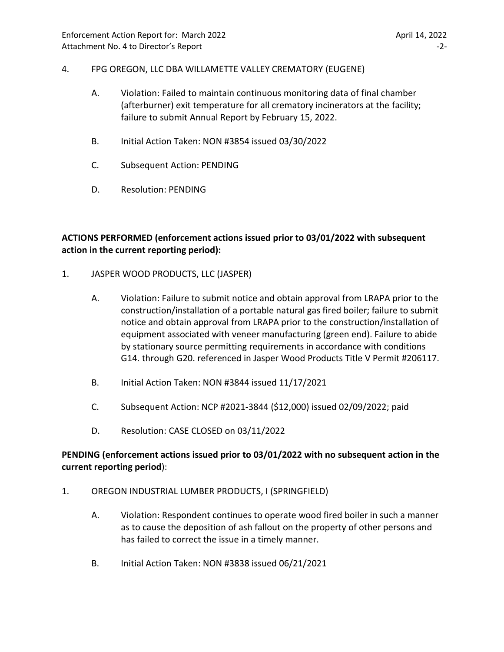### 4. FPG OREGON, LLC DBA WILLAMETTE VALLEY CREMATORY (EUGENE)

- A. Violation: Failed to maintain continuous monitoring data of final chamber (afterburner) exit temperature for all crematory incinerators at the facility; failure to submit Annual Report by February 15, 2022.
- B. Initial Action Taken: NON #3854 issued 03/30/2022
- C. Subsequent Action: PENDING
- D. Resolution: PENDING

# **ACTIONS PERFORMED (enforcement actions issued prior to 03/01/2022 with subsequent action in the current reporting period):**

- 1. JASPER WOOD PRODUCTS, LLC (JASPER)
	- A. Violation: Failure to submit notice and obtain approval from LRAPA prior to the construction/installation of a portable natural gas fired boiler; failure to submit notice and obtain approval from LRAPA prior to the construction/installation of equipment associated with veneer manufacturing (green end). Failure to abide by stationary source permitting requirements in accordance with conditions G14. through G20. referenced in Jasper Wood Products Title V Permit #206117.
	- B. Initial Action Taken: NON #3844 issued 11/17/2021
	- C. Subsequent Action: NCP #2021-3844 (\$12,000) issued 02/09/2022; paid
	- D. Resolution: CASE CLOSED on 03/11/2022

# **PENDING (enforcement actions issued prior to 03/01/2022 with no subsequent action in the current reporting period**):

- 1. OREGON INDUSTRIAL LUMBER PRODUCTS, I (SPRINGFIELD)
	- A. Violation: Respondent continues to operate wood fired boiler in such a manner as to cause the deposition of ash fallout on the property of other persons and has failed to correct the issue in a timely manner.
	- B. Initial Action Taken: NON #3838 issued 06/21/2021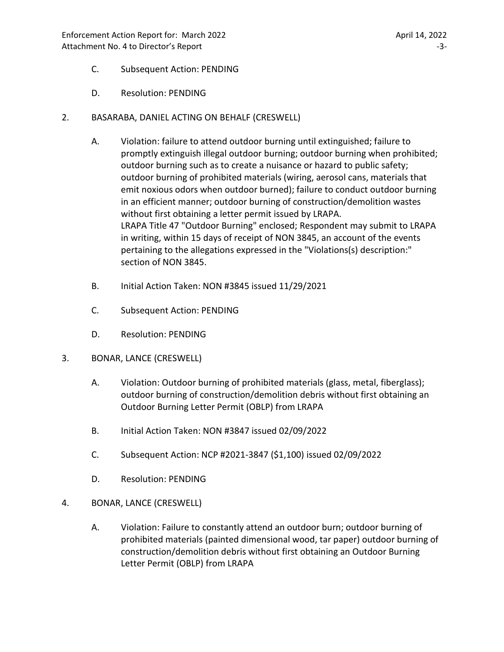- C. Subsequent Action: PENDING
- D. Resolution: PENDING
- 2. BASARABA, DANIEL ACTING ON BEHALF (CRESWELL)
	- A. Violation: failure to attend outdoor burning until extinguished; failure to promptly extinguish illegal outdoor burning; outdoor burning when prohibited; outdoor burning such as to create a nuisance or hazard to public safety; outdoor burning of prohibited materials (wiring, aerosol cans, materials that emit noxious odors when outdoor burned); failure to conduct outdoor burning in an efficient manner; outdoor burning of construction/demolition wastes without first obtaining a letter permit issued by LRAPA. LRAPA Title 47 "Outdoor Burning" enclosed; Respondent may submit to LRAPA in writing, within 15 days of receipt of NON 3845, an account of the events pertaining to the allegations expressed in the "Violations(s) description:" section of NON 3845.
	- B. Initial Action Taken: NON #3845 issued 11/29/2021
	- C. Subsequent Action: PENDING
	- D. Resolution: PENDING
- 3. BONAR, LANCE (CRESWELL)
	- A. Violation: Outdoor burning of prohibited materials (glass, metal, fiberglass); outdoor burning of construction/demolition debris without first obtaining an Outdoor Burning Letter Permit (OBLP) from LRAPA
	- B. Initial Action Taken: NON #3847 issued 02/09/2022
	- C. Subsequent Action: NCP #2021-3847 (\$1,100) issued 02/09/2022
	- D. Resolution: PENDING
- 4. BONAR, LANCE (CRESWELL)
	- A. Violation: Failure to constantly attend an outdoor burn; outdoor burning of prohibited materials (painted dimensional wood, tar paper) outdoor burning of construction/demolition debris without first obtaining an Outdoor Burning Letter Permit (OBLP) from LRAPA